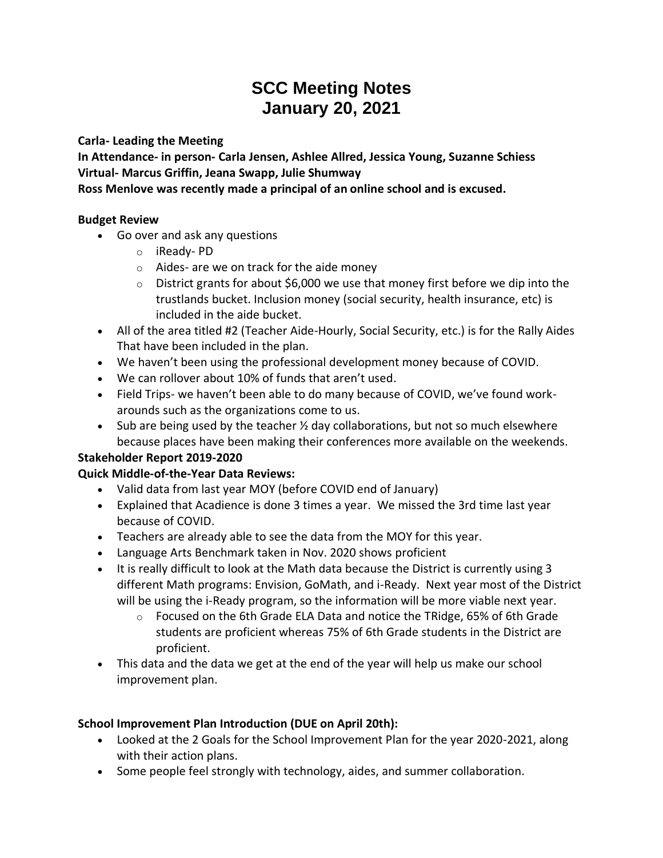# **SCC Meeting Notes January 20, 2021**

**Carla- Leading the Meeting**

**In Attendance- in person- Carla Jensen, Ashlee Allred, Jessica Young, Suzanne Schiess Virtual- Marcus Griffin, Jeana Swapp, Julie Shumway**

**Ross Menlove was recently made a principal of an online school and is excused.**

#### **Budget Review**

- Go over and ask any questions
	- o iReady- PD
	- o Aides- are we on track for the aide money
	- $\circ$  District grants for about \$6,000 we use that money first before we dip into the trustlands bucket. Inclusion money (social security, health insurance, etc) is included in the aide bucket.
- All of the area titled #2 (Teacher Aide-Hourly, Social Security, etc.) is for the Rally Aides That have been included in the plan.
- We haven't been using the professional development money because of COVID.
- We can rollover about 10% of funds that aren't used.
- Field Trips- we haven't been able to do many because of COVID, we've found workarounds such as the organizations come to us.
- Sub are being used by the teacher  $\frac{1}{2}$  day collaborations, but not so much elsewhere because places have been making their conferences more available on the weekends.

## **Stakeholder Report 2019-2020**

## **Quick Middle-of-the-Year Data Reviews:**

- Valid data from last year MOY (before COVID end of January)
- Explained that Acadience is done 3 times a year. We missed the 3rd time last year because of COVID.
- Teachers are already able to see the data from the MOY for this year.
- Language Arts Benchmark taken in Nov. 2020 shows proficient
- It is really difficult to look at the Math data because the District is currently using 3 different Math programs: Envision, GoMath, and i-Ready. Next year most of the District will be using the i-Ready program, so the information will be more viable next year.
	- $\circ$  Focused on the 6th Grade ELA Data and notice the TRidge, 65% of 6th Grade students are proficient whereas 75% of 6th Grade students in the District are proficient.
- This data and the data we get at the end of the year will help us make our school improvement plan.

## **School Improvement Plan Introduction (DUE on April 20th):**

- Looked at the 2 Goals for the School Improvement Plan for the year 2020-2021, along with their action plans.
- Some people feel strongly with technology, aides, and summer collaboration.